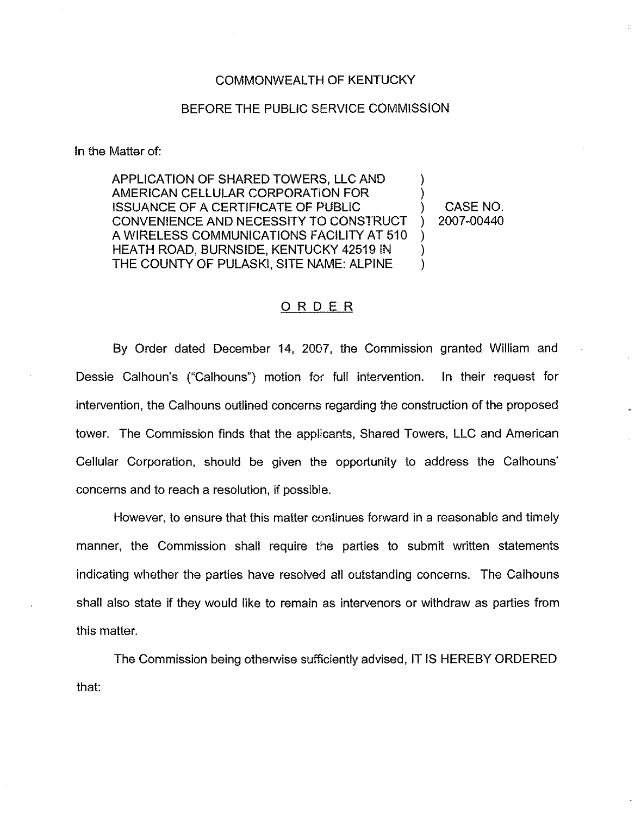## COMMONWEALTH OF KENTUCKY

## BEFORE THE PUBLIC SERVICE COMMISSION

In the Matter of:

APPLICATION OF SHARED TOWERS, LLC AND AMERICAN CELLULAR CORPORATION FOR ISSUANCE OF A CERTIFICATE OF PUBLIC CONVENIENCE AND NECESSITY TO CONSTRUCT A WIRELESS COMMUNICATIONS FACILITY AT 510 HEATH ROAD, BURNSIDE, KENTUCKY 42519 IN THE COUNTY OF PULASKI, SITE NAME: ALPINE ) ) ) ) )

) CASE NO. ) 2007-00440

## ORDER

By Order dated December 14, 2007, the Commission granted William and Dessie Calhoun's ("Calhouns") motion for full intervention. In their request for intervention, the Calhouns outlined concerns regarding the construction of the proposed tower. The Commission finds that the applicants, Shared Towers, LLC and American Cellular Corporation, should be given the opportunity to address the Calhouns' concerns and to reach a resolution, if possible.

However, to ensure that this matter continues forward in a reasonable and timely manner, the Commission shall require the parties to submit written statements indicating whether the parties have resoived all outstanding concerns. The Calhouns shall also state if they would like to remain as intervenors or withdraw as parties from this matter.

The Commission being otherwise sufficiently advised, IT IS HEREBY ORDEREDthat: